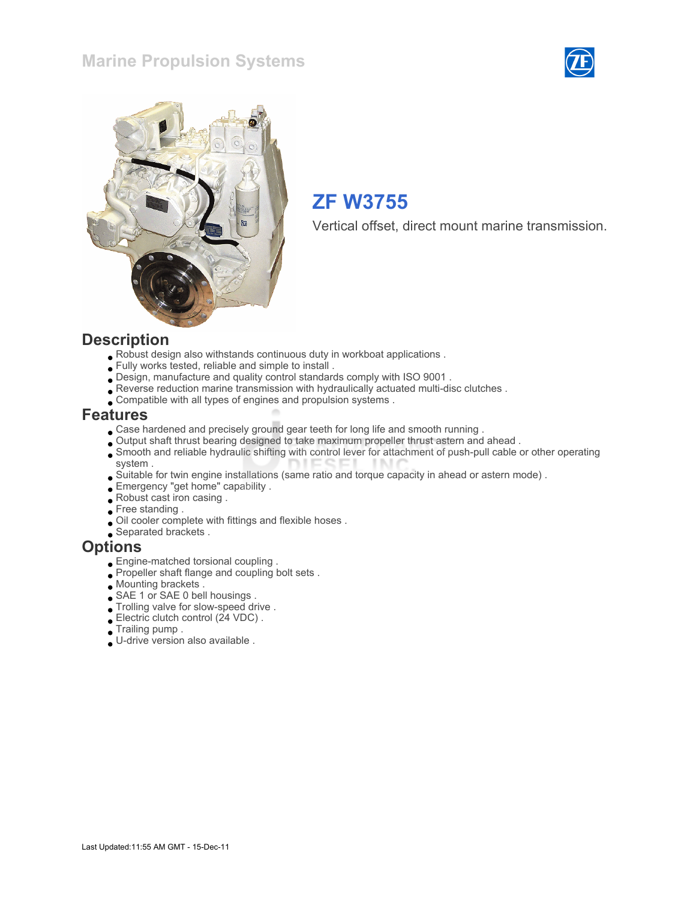### Marine Propulsion Systems





## ZF W3755

Vertical offset, direct mount marine transmission.

#### **Description**

- Robust design also withstands continuous duty in workboat applications .
- Fully works tested, reliable and simple to install .
- Design, manufacture and quality control standards comply with ISO 9001 .
- Reverse reduction marine transmission with hydraulically actuated multi-disc clutches .
- Compatible with all types of engines and propulsion systems .

#### Features

- Case hardened and precisely ground gear teeth for long life and smooth running .
- Output shaft thrust bearing designed to take maximum propeller thrust astern and ahead .
- Smooth and reliable hydraulic shifting with control lever for attachment of push-pull cable or other operating system .
- Suitable for twin engine installations (same ratio and torque capacity in ahead or astern mode) .
- Emergency "get home" capability .
- Robust cast iron casing .
- Free standing .
- Oil cooler complete with fittings and flexible hoses .
- Separated brackets .

#### **Options**

- Engine-matched torsional coupling .
- Propeller shaft flange and coupling bolt sets.
- Mounting brackets .
- SAE 1 or SAE 0 bell housings .
- Trolling valve for slow-speed drive .
- Electric clutch control (24 VDC) .
- Trailing pump .
- U-drive version also available .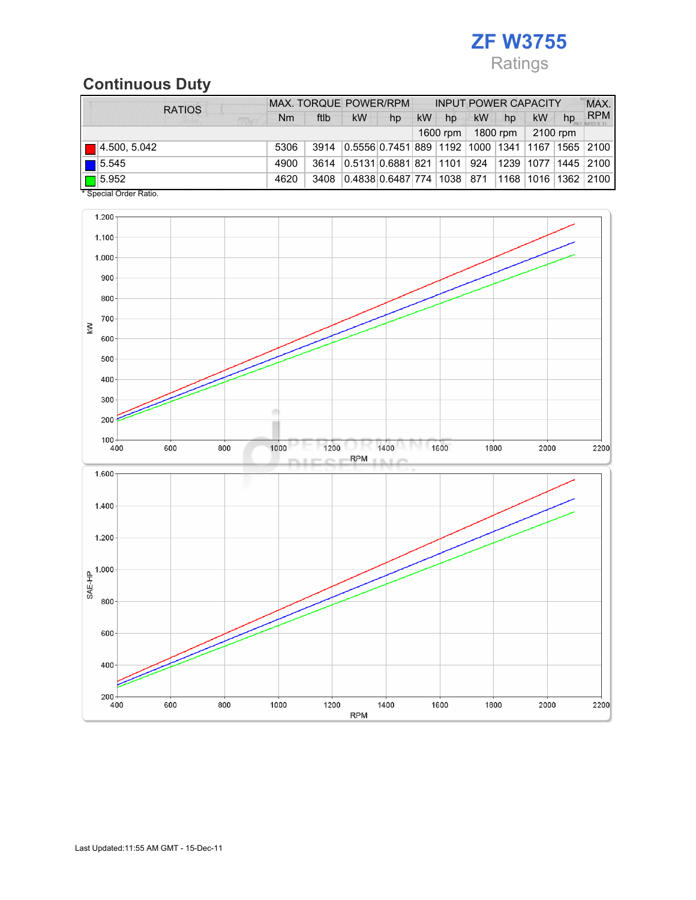## ZF W3755 Ratings

# Continuous Duty

| <b>RATIOS</b>        | MAX. TORQUE POWER/RPM |      |                                        |    | <b>INPUT POWER CAPACITY</b> |    |     |          |           | MAX. |                         |
|----------------------|-----------------------|------|----------------------------------------|----|-----------------------------|----|-----|----------|-----------|------|-------------------------|
|                      | Nm                    | ftlb | <b>kW</b>                              | hp | <b>kW</b>                   | hp | kW  | hp       | <b>kW</b> | hp   | <b>RPM</b>              |
|                      |                       |      |                                        |    | 1800 rpm<br>1600 rpm        |    |     | 2100 rpm |           |      |                         |
| $\Box$ 4.500, 5.042  | 5306                  | 3914 | 0.5556 0.7451 889   1192   1000   1341 |    |                             |    |     |          |           |      | 1167  1565   2100       |
| $\blacksquare$ 5.545 | 4900                  | 3614 | 0.5131 0.6881 821 1101                 |    |                             |    | 924 |          |           |      | 1239  1077  1445   2100 |
| $\Box$ 5.952         | 4620                  | 3408 | 0.4838 0.6487 774  1038   871          |    |                             |    |     |          |           |      | 1168  1016  1362   2100 |

\* Special Order Ratio.

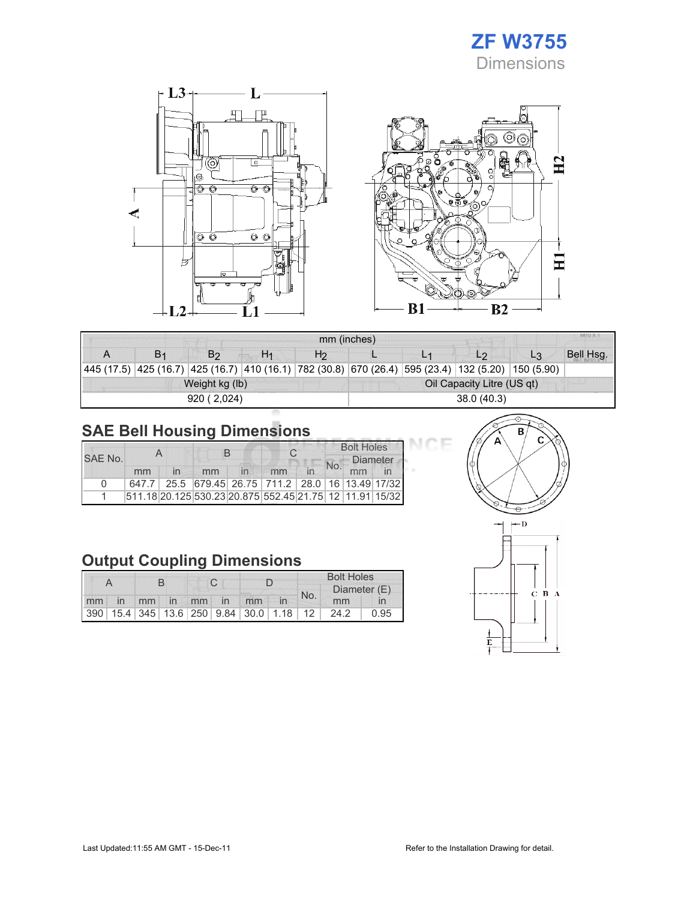



| <b>MILLA</b><br>mm (inches) |  |                                                                                                            |    |    |                            |  |                |    |           |  |  |
|-----------------------------|--|------------------------------------------------------------------------------------------------------------|----|----|----------------------------|--|----------------|----|-----------|--|--|
|                             |  | B <sub>2</sub>                                                                                             | H1 | H2 |                            |  | L <sub>2</sub> | L3 | Bell Hsg. |  |  |
|                             |  | 445 (17.5)  425 (16.7)  425 (16.7)  410 (16.1)  782 (30.8)  670 (26.4)  595 (23.4)  132 (5.20)  150 (5.90) |    |    |                            |  |                |    |           |  |  |
|                             |  | Weight kg (lb)                                                                                             |    |    | Oil Capacity Litre (US qt) |  |                |    |           |  |  |
|                             |  | 920 (2.024)                                                                                                |    |    |                            |  | 38.0(40.3)     |    |           |  |  |

## SAE Bell Housing Dimensions

|          |    |  | R  |  |                                                         |  | <b>Bolt Holes</b> |                 |  |  |
|----------|----|--|----|--|---------------------------------------------------------|--|-------------------|-----------------|--|--|
| SAE No.  |    |  |    |  |                                                         |  | <b>No</b>         | <b>Diameter</b> |  |  |
|          | mm |  | mm |  | mm                                                      |  |                   | mm              |  |  |
| $\Omega$ |    |  |    |  | 647.7 25.5 679.45 26.75 711.2 28.0 16 13.49 17/32       |  |                   |                 |  |  |
|          |    |  |    |  | 511.18 20.125 530.23 20.875 552.45 21.75 12 11.91 15/32 |  |                   |                 |  |  |

## Output Coupling Dimensions

|  |  |  |  |                   | <b>Bolt Holes</b>                       |     |              |      |  |
|--|--|--|--|-------------------|-----------------------------------------|-----|--------------|------|--|
|  |  |  |  |                   |                                         | No. | Diameter (E) |      |  |
|  |  |  |  | mm in mm in mm in | mm                                      |     | mm           |      |  |
|  |  |  |  |                   | 390 15.4 345 13.6 250 9.84 30.0 1.18 12 |     | 24.2         | 0.95 |  |



DЕ